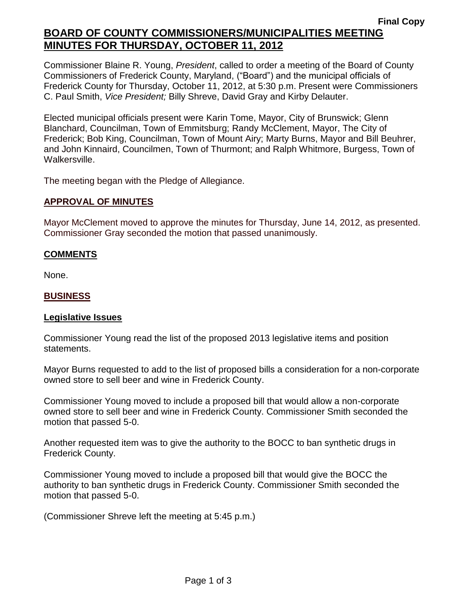Commissioner Blaine R. Young, *President*, called to order a meeting of the Board of County Commissioners of Frederick County, Maryland, ("Board") and the municipal officials of Frederick County for Thursday, October 11, 2012, at 5:30 p.m. Present were Commissioners C. Paul Smith, *Vice President;* Billy Shreve, David Gray and Kirby Delauter.

Elected municipal officials present were Karin Tome, Mayor, City of Brunswick; Glenn Blanchard, Councilman, Town of Emmitsburg; Randy McClement, Mayor, The City of Frederick; Bob King, Councilman, Town of Mount Airy; Marty Burns, Mayor and Bill Beuhrer, and John Kinnaird, Councilmen, Town of Thurmont; and Ralph Whitmore, Burgess, Town of Walkersville.

The meeting began with the Pledge of Allegiance.

#### **APPROVAL OF MINUTES**

Mayor McClement moved to approve the minutes for Thursday, June 14, 2012, as presented. Commissioner Gray seconded the motion that passed unanimously.

#### **COMMENTS**

None.

#### **BUSINESS**

#### **Legislative Issues**

Commissioner Young read the list of the proposed 2013 legislative items and position statements.

Mayor Burns requested to add to the list of proposed bills a consideration for a non-corporate owned store to sell beer and wine in Frederick County.

Commissioner Young moved to include a proposed bill that would allow a non-corporate owned store to sell beer and wine in Frederick County. Commissioner Smith seconded the motion that passed 5-0.

Another requested item was to give the authority to the BOCC to ban synthetic drugs in Frederick County.

Commissioner Young moved to include a proposed bill that would give the BOCC the authority to ban synthetic drugs in Frederick County. Commissioner Smith seconded the motion that passed 5-0.

(Commissioner Shreve left the meeting at 5:45 p.m.)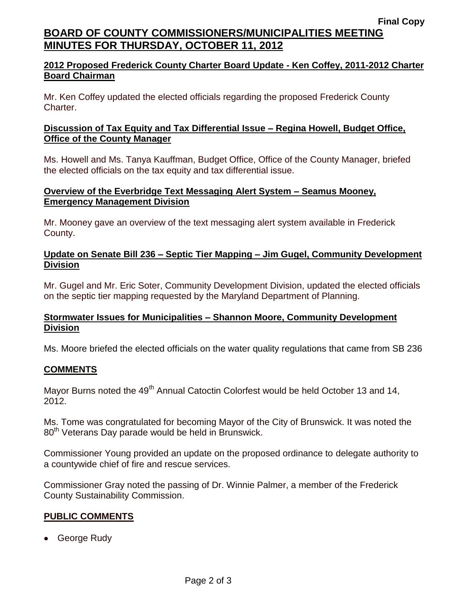# **2012 Proposed Frederick County Charter Board Update - Ken Coffey, 2011-2012 Charter Board Chairman**

Mr. Ken Coffey updated the elected officials regarding the proposed Frederick County Charter.

## **Discussion of Tax Equity and Tax Differential Issue – Regina Howell, Budget Office, Office of the County Manager**

Ms. Howell and Ms. Tanya Kauffman, Budget Office, Office of the County Manager, briefed the elected officials on the tax equity and tax differential issue.

### **Overview of the Everbridge Text Messaging Alert System – Seamus Mooney, Emergency Management Division**

Mr. Mooney gave an overview of the text messaging alert system available in Frederick County.

# **Update on Senate Bill 236 – Septic Tier Mapping – Jim Gugel, Community Development Division**

Mr. Gugel and Mr. Eric Soter, Community Development Division, updated the elected officials on the septic tier mapping requested by the Maryland Department of Planning.

# **Stormwater Issues for Municipalities – Shannon Moore, Community Development Division**

Ms. Moore briefed the elected officials on the water quality regulations that came from SB 236

### **COMMENTS**

Mayor Burns noted the 49<sup>th</sup> Annual Catoctin Colorfest would be held October 13 and 14, 2012.

Ms. Tome was congratulated for becoming Mayor of the City of Brunswick. It was noted the 80<sup>th</sup> Veterans Day parade would be held in Brunswick.

Commissioner Young provided an update on the proposed ordinance to delegate authority to a countywide chief of fire and rescue services.

Commissioner Gray noted the passing of Dr. Winnie Palmer, a member of the Frederick County Sustainability Commission.

### **PUBLIC COMMENTS**

• George Rudy